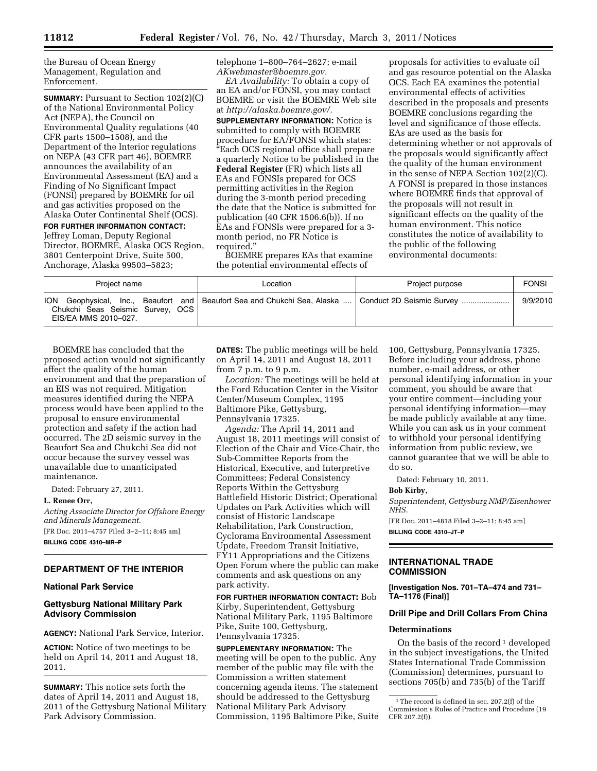the Bureau of Ocean Energy Management, Regulation and Enforcement.

**SUMMARY:** Pursuant to Section 102(2)(C) of the National Environmental Policy Act (NEPA), the Council on Environmental Quality regulations (40 CFR parts 1500–1508), and the Department of the Interior regulations on NEPA (43 CFR part 46), BOEMRE announces the availability of an Environmental Assessment (EA) and a Finding of No Significant Impact (FONSI) prepared by BOEMRE for oil and gas activities proposed on the Alaska Outer Continental Shelf (OCS). **FOR FURTHER INFORMATION CONTACT:** 

Jeffrey Loman, Deputy Regional Director, BOEMRE, Alaska OCS Region, 3801 Centerpoint Drive, Suite 500, Anchorage, Alaska 99503–5823;

telephone 1–800–764–2627; e-mail *AKwebmaster@boemre.gov.* 

*EA Availability:* To obtain a copy of an EA and/or FONSI, you may contact BOEMRE or visit the BOEMRE Web site at *http://alaska.boemre.gov/.* 

**SUPPLEMENTARY INFORMATION:** Notice is submitted to comply with BOEMRE procedure for EA/FONSI which states: ''Each OCS regional office shall prepare a quarterly Notice to be published in the **Federal Register** (FR) which lists all EAs and FONSIs prepared for OCS permitting activities in the Region during the 3-month period preceding the date that the Notice is submitted for publication (40 CFR 1506.6(b)). If no EAs and FONSIs were prepared for a 3 month period, no FR Notice is required.''

BOEMRE prepares EAs that examine the potential environmental effects of

proposals for activities to evaluate oil and gas resource potential on the Alaska OCS. Each EA examines the potential environmental effects of activities described in the proposals and presents BOEMRE conclusions regarding the level and significance of those effects. EAs are used as the basis for determining whether or not approvals of the proposals would significantly affect the quality of the human environment in the sense of NEPA Section 102(2)(C). A FONSI is prepared in those instances where BOEMRE finds that approval of the proposals will not result in significant effects on the quality of the human environment. This notice constitutes the notice of availability to the public of the following environmental documents:

| Project name                                                           | Location                                                                                            | Project purpose | <b>FONSI</b> |
|------------------------------------------------------------------------|-----------------------------------------------------------------------------------------------------|-----------------|--------------|
| <b>ION</b><br>Chukchi Seas Seismic Survey, OCS<br>EIS/EA MMS 2010-027. | Geophysical, Inc., Beaufort and   Beaufort Sea and Chukchi Sea, Alaska    Conduct 2D Seismic Survey |                 | 9/9/2010     |

BOEMRE has concluded that the proposed action would not significantly affect the quality of the human environment and that the preparation of an EIS was not required. Mitigation measures identified during the NEPA process would have been applied to the proposal to ensure environmental protection and safety if the action had occurred. The 2D seismic survey in the Beaufort Sea and Chukchi Sea did not occur because the survey vessel was unavailable due to unanticipated maintenance.

Dated: February 27, 2011.

### **L. Renee Orr,**

*Acting Associate Director for Offshore Energy and Minerals Management.*  [FR Doc. 2011–4757 Filed 3–2–11; 8:45 am] **BILLING CODE 4310–MR–P** 

# **DEPARTMENT OF THE INTERIOR**

## **National Park Service**

# **Gettysburg National Military Park Advisory Commission**

**AGENCY:** National Park Service, Interior.

**ACTION:** Notice of two meetings to be held on April 14, 2011 and August 18, 2011.

**SUMMARY:** This notice sets forth the dates of April 14, 2011 and August 18, 2011 of the Gettysburg National Military Park Advisory Commission.

**DATES:** The public meetings will be held on April 14, 2011 and August 18, 2011 from 7 p.m. to 9 p.m.

*Location:* The meetings will be held at the Ford Education Center in the Visitor Center/Museum Complex, 1195 Baltimore Pike, Gettysburg, Pennsylvania 17325.

*Agenda:* The April 14, 2011 and August 18, 2011 meetings will consist of Election of the Chair and Vice-Chair, the Sub-Committee Reports from the Historical, Executive, and Interpretive Committees; Federal Consistency Reports Within the Gettysburg Battlefield Historic District; Operational Updates on Park Activities which will consist of Historic Landscape Rehabilitation, Park Construction, Cyclorama Environmental Assessment Update, Freedom Transit Initiative, FY11 Appropriations and the Citizens Open Forum where the public can make comments and ask questions on any park activity.

**FOR FURTHER INFORMATION CONTACT:** Bob Kirby, Superintendent, Gettysburg National Military Park, 1195 Baltimore Pike, Suite 100, Gettysburg, Pennsylvania 17325.

**SUPPLEMENTARY INFORMATION:** The meeting will be open to the public. Any member of the public may file with the Commission a written statement concerning agenda items. The statement should be addressed to the Gettysburg National Military Park Advisory Commission, 1195 Baltimore Pike, Suite 100, Gettysburg, Pennsylvania 17325. Before including your address, phone number, e-mail address, or other personal identifying information in your comment, you should be aware that your entire comment—including your personal identifying information—may be made publicly available at any time. While you can ask us in your comment to withhold your personal identifying information from public review, we cannot guarantee that we will be able to do so.

Dated: February 10, 2011.

#### **Bob Kirby,**

*Superintendent, Gettysburg NMP/Eisenhower NHS.* 

[FR Doc. 2011–4818 Filed 3–2–11; 8:45 am] **BILLING CODE 4310–JT–P** 

# **INTERNATIONAL TRADE COMMISSION**

**[Investigation Nos. 701–TA–474 and 731– TA–1176 (Final)]** 

# **Drill Pipe and Drill Collars From China**

#### **Determinations**

On the basis of the record<sup>1</sup> developed in the subject investigations, the United States International Trade Commission (Commission) determines, pursuant to sections 705(b) and 735(b) of the Tariff

 $^{\rm 1}\!$  The record is defined in sec. 207.2(f) of the Commission's Rules of Practice and Procedure (19 CFR 207.2(f)).